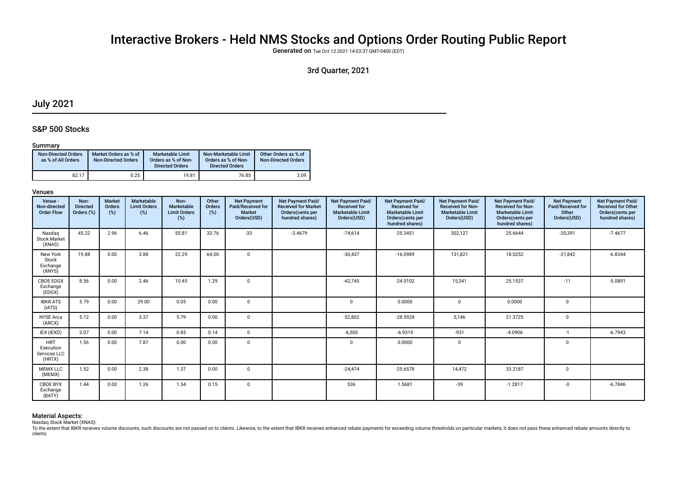# Interactive Brokers - Held NMS Stocks and Options Order Routing Public Report

Generated on Tue Oct 12 2021 14:03:37 GMT-0400 (EDT)

# 3rd Quarter, 2021

# July 2021

# S&P 500 Stocks

# Summary

| <b>Non-Directed Orders</b><br>as % of All Orders | Market Orders as % of<br><b>Non-Directed Orders</b> | <b>Marketable Limit</b><br>Orders as % of Non-<br><b>Directed Orders</b> | Non-Marketable Limit<br>Orders as % of Non-<br><b>Directed Orders</b> | Other Orders as % of<br><b>Non-Directed Orders</b> |
|--------------------------------------------------|-----------------------------------------------------|--------------------------------------------------------------------------|-----------------------------------------------------------------------|----------------------------------------------------|
| 82.17                                            | 0.25                                                | 19.81                                                                    | 76.85                                                                 | 3.09                                               |

# Venues

| Venue -<br>Non-directed<br><b>Order Flow</b>      | Non-<br><b>Directed</b><br>Orders (%) | <b>Market</b><br>Orders<br>(%) | Marketable<br><b>Limit Orders</b><br>(%) | Non-<br>Marketable<br><b>Limit Orders</b><br>(%) | Other<br>Orders<br>(%) | <b>Net Payment</b><br>Paid/Received for<br><b>Market</b><br>Orders(USD) | <b>Net Payment Paid/</b><br><b>Received for Market</b><br>Orders(cents per<br>hundred shares) | Net Payment Paid/<br><b>Received for</b><br><b>Marketable Limit</b><br>Orders(USD) | Net Payment Paid/<br><b>Received for</b><br><b>Marketable Limit</b><br>Orders(cents per<br>hundred shares) | Net Payment Paid/<br><b>Received for Non-</b><br><b>Marketable Limit</b><br>Orders(USD) | Net Payment Paid/<br>Received for Non-<br><b>Marketable Limit</b><br>Orders(cents per<br>hundred shares) | <b>Net Payment</b><br>Paid/Received for<br>Other<br>Orders(USD) | Net Payment Paid/<br><b>Received for Other</b><br>Orders(cents per<br>hundred shares) |
|---------------------------------------------------|---------------------------------------|--------------------------------|------------------------------------------|--------------------------------------------------|------------------------|-------------------------------------------------------------------------|-----------------------------------------------------------------------------------------------|------------------------------------------------------------------------------------|------------------------------------------------------------------------------------------------------------|-----------------------------------------------------------------------------------------|----------------------------------------------------------------------------------------------------------|-----------------------------------------------------------------|---------------------------------------------------------------------------------------|
| Nasdag<br><b>Stock Market</b><br>(XNAS)           | 45.22                                 | 2.96                           | 6.46                                     | 55.81                                            | 33.76                  | $-33$                                                                   | $-3.4679$                                                                                     | $-74,614$                                                                          | $-25.3451$                                                                                                 | 302,127                                                                                 | 25.6644                                                                                                  | $-20,391$                                                       | $-7.4677$                                                                             |
| New York<br>Stock<br>Exchange<br>(XNYS)           | 19.88                                 | 0.00                           | 3.88                                     | 22.29                                            | 64.00                  | $\mathbf 0$                                                             |                                                                                               | $-30,437$                                                                          | $-16.0989$                                                                                                 | 131,821                                                                                 | 18.0252                                                                                                  | $-21,842$                                                       | $-6.8344$                                                                             |
| <b>CBOE EDGX</b><br>Exchange<br>(EDGX)            | 8.56                                  | 0.00                           | 2.46                                     | 10.45                                            | 1.29                   | $\mathbf 0$                                                             |                                                                                               | $-42.745$                                                                          | $-24.0102$                                                                                                 | 15,341                                                                                  | 25.1537                                                                                                  | $-11$                                                           | $-5.0891$                                                                             |
| <b>IBKR ATS</b><br>(IATS)                         | 5.79                                  | 0.00                           | 29.00                                    | 0.05                                             | 0.00                   | $\Omega$                                                                |                                                                                               | $\Omega$                                                                           | 0.0000                                                                                                     | $\Omega$                                                                                | 0.0000                                                                                                   | 0                                                               |                                                                                       |
| <b>NYSE</b> Arca<br>(ARCX)                        | 5.12                                  | 0.00                           | 3.37                                     | 5.79                                             | 0.00                   | $\Omega$                                                                |                                                                                               | $-52.802$                                                                          | $-28.5928$                                                                                                 | 5,146                                                                                   | 21.3725                                                                                                  | $\mathbf 0$                                                     |                                                                                       |
| IEX (IEXD)                                        | 2.07                                  | 0.00                           | 7.14                                     | 0.85                                             | 0.14                   | $\mathbf 0$                                                             |                                                                                               | $-6,500$                                                                           | $-6.9319$                                                                                                  | $-931$                                                                                  | $-4.0906$                                                                                                | $-1$                                                            | $-6.7943$                                                                             |
| <b>HRT</b><br>Execution<br>Services LLC<br>(HRTX) | 1.56                                  | 0.00                           | 7.87                                     | 0.00                                             | 0.00                   | $\mathbf 0$                                                             |                                                                                               | $\mathbf 0$                                                                        | 0.0000                                                                                                     | 0                                                                                       |                                                                                                          | $\mathbf 0$                                                     |                                                                                       |
| <b>MEMX LLC</b><br>(MEMX)                         | 1.52                                  | 0.00                           | 2.38                                     | 1.37                                             | 0.00                   | $\mathbf 0$                                                             |                                                                                               | $-24.474$                                                                          | $-25.6578$                                                                                                 | 14,472                                                                                  | 33.2187                                                                                                  | 0                                                               |                                                                                       |
| <b>CBOE BYX</b><br>Exchange<br>(BATY)             | 1.44                                  | 0.00                           | 1.26                                     | 1.54                                             | 0.15                   | $\mathbf 0$                                                             |                                                                                               | 536                                                                                | 1.5681                                                                                                     | $-39$                                                                                   | $-1.2817$                                                                                                | $-0$                                                            | $-6.7846$                                                                             |

# Material Aspects:

Nasdaq Stock Market (XNAS):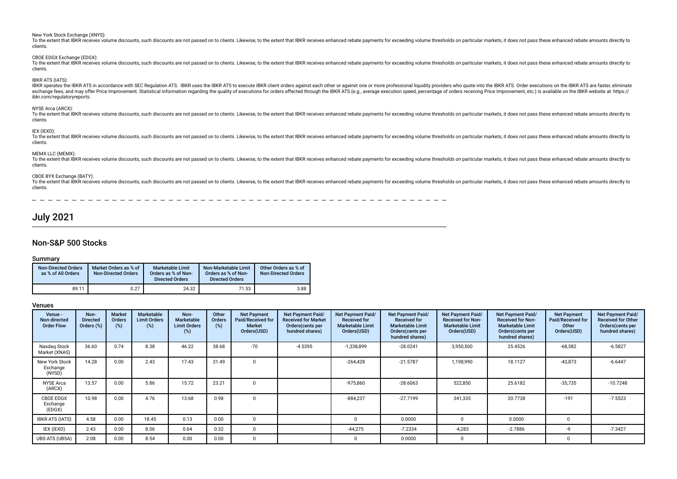New York Stock Exchange (XNYS): To the extent that IBKR receives volume discounts, such discounts are not passed on to clients. Likewise, to the extent that IBKR receives enhanced rebate payments for exceeding volume thresholds on particular markets, it clients. CBOE EDGX Exchange (EDGX): To the extent that IBKR receives volume discounts, such discounts are not passed on to clients. Likewise, to the extent that IBKR receives enhanced rebate payments for exceeding volume thresholds on particular markets, it clients. IBKR ATS (IATS): IBKR operates the IBKR ATS in accordance with SEC Regulation ATS. IBKR uses the IBKR ATS to execute IBKR client orders against each other or against one or more professional liguidity providers who quote into the IBKR ATS. exchange fees, and may offer Price Improvement. Statistical information regarding the quality of executions for orders effected through the IBKR ATS (e.g., average execution speed, percentage of orders receiving Price Impr ibkr.com/regulatoryreports. NYSE Arca (ARCX): To the extent that IBKR receives volume discounts, such discounts are not passed on to clients. Likewise, to the extent that IBKR receives enhanced rebate payments for exceeding volume thresholds on particular markets, it clients.

### IEX (IEXD):

To the extent that IBKR receives volume discounts, such discounts are not passed on to clients. Likewise, to the extent that IBKR receives enhanced rebate payments for exceeding volume thresholds on particular markets, it clients.

### MEMX LLC (MEMX):

To the extent that IBKR receives volume discounts, such discounts are not passed on to clients. Likewise, to the extent that IBKR receives enhanced rebate payments for exceeding volume thresholds on particular markets, it clients.

### CBOE BYX Exchange (BATY):

To the extent that IBKR receives volume discounts, such discounts are not passed on to clients. Likewise, to the extent that IBKR receives enhanced rebate payments for exceeding volume thresholds on particular markets, it clients.

# July 2021

# Non-S&P 500 Stocks

### Summary

| <b>Non-Directed Orders</b><br>as % of All Orders | Market Orders as % of<br><b>Non-Directed Orders</b> | <b>Marketable Limit</b><br>Orders as % of Non-<br><b>Directed Orders</b> | Non-Marketable Limit<br>Orders as % of Non-<br><b>Directed Orders</b> | Other Orders as % of<br><b>Non-Directed Orders</b> |
|--------------------------------------------------|-----------------------------------------------------|--------------------------------------------------------------------------|-----------------------------------------------------------------------|----------------------------------------------------|
| 89.11                                            | 0.27                                                | 24.32                                                                    | 71.53                                                                 | 3.88                                               |

# Venues

| Venue -<br>Non-directed<br><b>Order Flow</b> | Non-<br><b>Directed</b><br>Orders (%) | <b>Market</b><br><b>Orders</b><br>(%) | <b>Marketable</b><br><b>Limit Orders</b><br>(%) | Non-<br>Marketable<br><b>Limit Orders</b><br>(%) | Other<br>Orders<br>(%) | <b>Net Payment</b><br>Paid/Received for<br><b>Market</b><br>Orders(USD) | <b>Net Payment Paid/</b><br><b>Received for Market</b><br>Orders (cents per<br>hundred shares) | Net Payment Paid/<br><b>Received for</b><br><b>Marketable Limit</b><br>Orders(USD) | Net Payment Paid/<br><b>Received for</b><br><b>Marketable Limit</b><br>Orders (cents per<br>hundred shares) | Net Payment Paid/<br><b>Received for Non-</b><br><b>Marketable Limit</b><br>Orders(USD) | Net Payment Paid/<br><b>Received for Non-</b><br><b>Marketable Limit</b><br>Orders (cents per<br>hundred shares) | <b>Net Payment</b><br>Paid/Received for<br>Other<br>Orders(USD) | <b>Net Payment Paid/</b><br><b>Received for Other</b><br>Orders(cents per<br>hundred shares) |
|----------------------------------------------|---------------------------------------|---------------------------------------|-------------------------------------------------|--------------------------------------------------|------------------------|-------------------------------------------------------------------------|------------------------------------------------------------------------------------------------|------------------------------------------------------------------------------------|-------------------------------------------------------------------------------------------------------------|-----------------------------------------------------------------------------------------|------------------------------------------------------------------------------------------------------------------|-----------------------------------------------------------------|----------------------------------------------------------------------------------------------|
| Nasdag Stock<br>Market (XNAS)                | 36.60                                 | 0.74                                  | 8.38                                            | 46.22                                            | 38.68                  | $-70$                                                                   | $-4.5395$                                                                                      | $-1,338,899$                                                                       | $-28.0241$                                                                                                  | 3,950,500                                                                               | 25.4526                                                                                                          | $-68,582$                                                       | $-6.5827$                                                                                    |
| New York Stock<br>Exchange<br>(NYSD)         | 14.28                                 | 0.00                                  | 2.43                                            | 17.43                                            | 31.49                  | $\Omega$                                                                |                                                                                                | $-264,428$                                                                         | $-21.5787$                                                                                                  | 1,198,990                                                                               | 18.1127                                                                                                          | $-43,873$                                                       | $-6.6447$                                                                                    |
| <b>NYSE Arca</b><br>(ARCX)                   | 13.57                                 | 0.00                                  | 5.86                                            | 15.72                                            | 23.21                  | <sup>n</sup>                                                            |                                                                                                | $-975,860$                                                                         | $-28.6063$                                                                                                  | 522,850                                                                                 | 25.6182                                                                                                          | $-35,735$                                                       | $-10.7248$                                                                                   |
| <b>CBOE EDGX</b><br>Exchange<br>(EDGX)       | 10.98                                 | 0.00                                  | 4.76                                            | 13.68                                            | 0.98                   | $\Omega$                                                                |                                                                                                | $-884,237$                                                                         | $-27.7199$                                                                                                  | 341,335                                                                                 | 20.7738                                                                                                          | $-191$                                                          | $-7.5523$                                                                                    |
| <b>IBKR ATS (IATS)</b>                       | 4.58                                  | 0.00                                  | 18.45                                           | 0.13                                             | 0.00                   | $\Omega$                                                                |                                                                                                |                                                                                    | 0.0000                                                                                                      |                                                                                         | 0.0000                                                                                                           | $\Omega$                                                        |                                                                                              |
| IEX (IEXD)                                   | 2.43                                  | 0.00                                  | 8.06                                            | 0.64                                             | 0.32                   | $\Omega$                                                                |                                                                                                | $-44,275$                                                                          | $-7.2334$                                                                                                   | $-4,283$                                                                                | $-2.7886$                                                                                                        | -9                                                              | $-7.3427$                                                                                    |
| <b>UBS ATS (UBSA)</b>                        | 2.08                                  | 0.00                                  | 8.54                                            | 0.00                                             | 0.00                   | <sup>n</sup>                                                            |                                                                                                |                                                                                    | 0.0000                                                                                                      |                                                                                         |                                                                                                                  | $\Omega$                                                        |                                                                                              |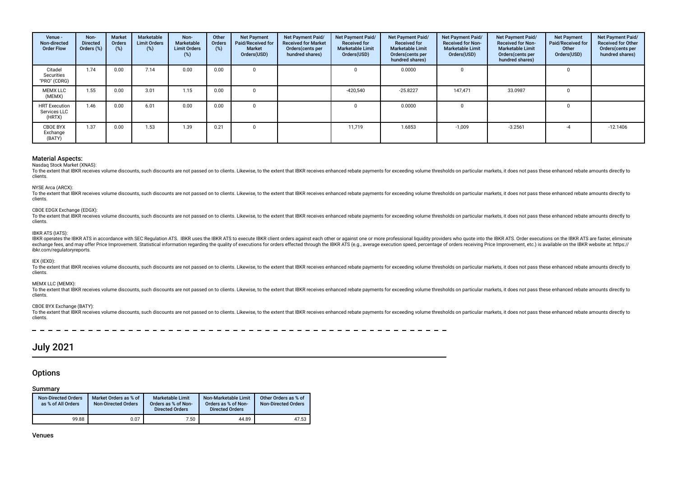| Venue -<br>Non-directed<br><b>Order Flow</b>   | Non-<br><b>Directed</b><br>Orders (%) | <b>Market</b><br>Orders<br>(%) | Marketable<br><b>Limit Orders</b><br>$(\%)$ | Non-<br>Marketable<br><b>Limit Orders</b><br>(%) | Other<br>Orders<br>(%) | <b>Net Payment</b><br>Paid/Received for<br>Market<br>Orders(USD) | <b>Net Payment Paid/</b><br><b>Received for Market</b><br>Orders(cents per<br>hundred shares) | Net Payment Paid/<br><b>Received for</b><br><b>Marketable Limit</b><br>Orders(USD) | Net Payment Paid/<br><b>Received for</b><br><b>Marketable Limit</b><br>Orders(cents per<br>hundred shares) | Net Payment Paid/<br><b>Received for Non-</b><br><b>Marketable Limit</b><br>Orders(USD) | Net Payment Paid/<br><b>Received for Non-</b><br><b>Marketable Limit</b><br>Orders(cents per<br>hundred shares) | Net Payment<br>Paid/Received for<br>Other<br>Orders(USD) | Net Payment Paid/<br><b>Received for Other</b><br>Orders(cents per<br>hundred shares) |
|------------------------------------------------|---------------------------------------|--------------------------------|---------------------------------------------|--------------------------------------------------|------------------------|------------------------------------------------------------------|-----------------------------------------------------------------------------------------------|------------------------------------------------------------------------------------|------------------------------------------------------------------------------------------------------------|-----------------------------------------------------------------------------------------|-----------------------------------------------------------------------------------------------------------------|----------------------------------------------------------|---------------------------------------------------------------------------------------|
| Citadel<br>Securities<br>"PRO" (CDRG)          | 1.74                                  | 0.00                           | 7.14                                        | 0.00                                             | 0.00                   |                                                                  |                                                                                               | $\Omega$                                                                           | 0.0000                                                                                                     | 0                                                                                       |                                                                                                                 |                                                          |                                                                                       |
| <b>MEMX LLC</b><br>(MEMX)                      | 1.55                                  | 0.00                           | 3.01                                        | 1.15                                             | 0.00                   |                                                                  |                                                                                               | $-420,540$                                                                         | $-25.8227$                                                                                                 | 147.471                                                                                 | 33.0987                                                                                                         |                                                          |                                                                                       |
| <b>HRT Execution</b><br>Services LLC<br>(HRTX) | 1.46                                  | 0.00                           | 6.01                                        | 0.00                                             | 0.00                   |                                                                  |                                                                                               | $\Omega$                                                                           | 0.0000                                                                                                     | 0                                                                                       |                                                                                                                 |                                                          |                                                                                       |
| CBOE BYX<br>Exchange<br>(BATY)                 | 1.37                                  | 0.00                           | 1.53                                        | 1.39                                             | 0.21                   |                                                                  |                                                                                               | 11.719                                                                             | 1.6853                                                                                                     | $-1,009$                                                                                | $-3.2561$                                                                                                       | -4                                                       | $-12.1406$                                                                            |

# Nasdaq Stock Market (XNAS):

To the extent that IBKR receives volume discounts, such discounts are not passed on to clients. Likewise, to the extent that IBKR receives enhanced rebate payments for exceeding volume thresholds on particular markets, it clients.

#### NYSE Arca (ARCX):

To the extent that IBKR receives volume discounts, such discounts are not passed on to clients. Likewise, to the extent that IBKR receives enhanced rebate payments for exceeding volume thresholds on particular markets, it clients.

#### CBOE EDGX Exchange (EDGX):

To the extent that IBKR receives volume discounts, such discounts are not passed on to clients. Likewise, to the extent that IBKR receives enhanced rebate payments for exceeding volume thresholds on particular markets, it clients.

### IBKR ATS (IATS):

IBKR operates the IBKR ATS in accordance with SEC Regulation ATS. IBKR uses the IBKR ATS to execute IBKR client orders against each other or against one or more professional liquidity providers who quote into the IBKR ATS. exchange fees, and may offer Price Improvement. Statistical information regarding the quality of executions for orders effected through the IBKR ATS (e.g., average execution speed, percentage of orders receiving Price Impr ibkr.com/regulatoryreports.

#### IEX (IEXD):

To the extent that IBKR receives volume discounts, such discounts are not passed on to clients. Likewise, to the extent that IBKR receives enhanced rebate payments for exceeding volume thresholds on particular markets, it clients.

### MEMX LLC (MEMX):

To the extent that IBKR receives volume discounts, such discounts are not passed on to clients. Likewise, to the extent that IBKR receives enhanced rebate payments for exceeding volume thresholds on particular markets, it clients.

### CBOE BYX Exchange (BATY):

To the extent that IBKR receives volume discounts, such discounts are not passed on to clients. Likewise, to the extent that IBKR receives enhanced rebate payments for exceeding volume thresholds on particular markets, it clients.

# July 2021

# **Options**

### Summary

| <b>Non-Directed Orders</b><br>as % of All Orders | Market Orders as % of<br><b>Non-Directed Orders</b> | Marketable Limit<br>Orders as % of Non-<br><b>Directed Orders</b> | Non-Marketable Limit<br>Orders as % of Non-<br><b>Directed Orders</b> | Other Orders as % of<br><b>Non-Directed Orders</b> |
|--------------------------------------------------|-----------------------------------------------------|-------------------------------------------------------------------|-----------------------------------------------------------------------|----------------------------------------------------|
| 99.88                                            | 0.07                                                | 7.50                                                              | 44.89                                                                 | 47.53                                              |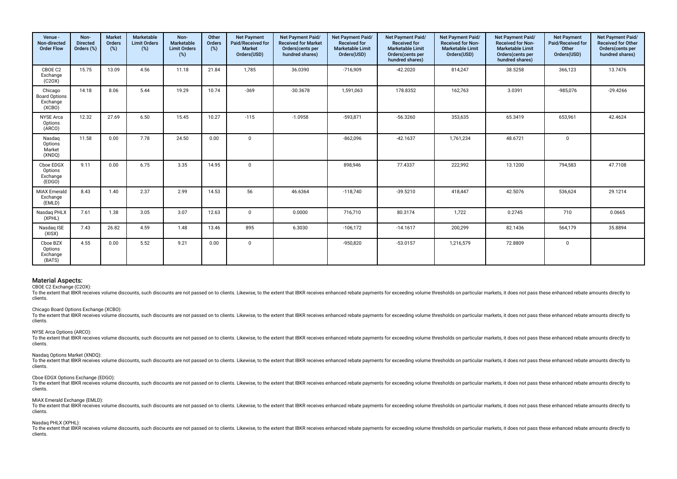| Venue -<br>Non-directed<br><b>Order Flow</b>          | Non-<br><b>Directed</b><br>Orders (%) | <b>Market</b><br>Orders<br>(%) | <b>Marketable</b><br><b>Limit Orders</b><br>(%) | Non-<br>Marketable<br><b>Limit Orders</b><br>$(\%)$ | Other<br>Orders<br>(%) | <b>Net Payment</b><br>Paid/Received for<br>Market<br>Orders(USD) | Net Payment Paid/<br><b>Received for Market</b><br>Orders (cents per<br>hundred shares) | Net Payment Paid/<br><b>Received for</b><br><b>Marketable Limit</b><br>Orders(USD) | Net Payment Paid/<br>Received for<br><b>Marketable Limit</b><br>Orders(cents per<br>hundred shares) | Net Payment Paid/<br><b>Received for Non-</b><br><b>Marketable Limit</b><br>Orders(USD) | Net Payment Paid/<br>Received for Non-<br><b>Marketable Limit</b><br>Orders(cents per<br>hundred shares) | <b>Net Payment</b><br>Paid/Received for<br>Other<br>Orders(USD) | Net Payment Paid/<br><b>Received for Other</b><br>Orders (cents per<br>hundred shares) |
|-------------------------------------------------------|---------------------------------------|--------------------------------|-------------------------------------------------|-----------------------------------------------------|------------------------|------------------------------------------------------------------|-----------------------------------------------------------------------------------------|------------------------------------------------------------------------------------|-----------------------------------------------------------------------------------------------------|-----------------------------------------------------------------------------------------|----------------------------------------------------------------------------------------------------------|-----------------------------------------------------------------|----------------------------------------------------------------------------------------|
| CBOE C2<br>Exchange<br>(C20X)                         | 15.75                                 | 13.09                          | 4.56                                            | 11.18                                               | 21.84                  | 1,785                                                            | 36.0390                                                                                 | $-716,909$                                                                         | $-42.2020$                                                                                          | 814,247                                                                                 | 38.5258                                                                                                  | 366,123                                                         | 13.7476                                                                                |
| Chicago<br><b>Board Options</b><br>Exchange<br>(XCBO) | 14.18                                 | 8.06                           | 5.44                                            | 19.29                                               | 10.74                  | $-369$                                                           | $-30.3678$                                                                              | 1,591,063                                                                          | 178.8352                                                                                            | 162,763                                                                                 | 3.0391                                                                                                   | $-985,076$                                                      | $-29.4266$                                                                             |
| <b>NYSE Arca</b><br>Options<br>(ARCO)                 | 12.32                                 | 27.69                          | 6.50                                            | 15.45                                               | 10.27                  | $-115$                                                           | $-1.0958$                                                                               | $-593,871$                                                                         | $-56.3260$                                                                                          | 353,635                                                                                 | 65.3419                                                                                                  | 653,961                                                         | 42.4624                                                                                |
| Nasdag<br>Options<br>Market<br>(XNDQ)                 | 11.58                                 | 0.00                           | 7.78                                            | 24.50                                               | 0.00                   | $\mathbf 0$                                                      |                                                                                         | $-862,096$                                                                         | $-42.1637$                                                                                          | 1,761,234                                                                               | 48.6721                                                                                                  | $\mathbf 0$                                                     |                                                                                        |
| Cboe EDGX<br>Options<br>Exchange<br>(EDGO)            | 9.11                                  | 0.00                           | 6.75                                            | 3.35                                                | 14.95                  | $\Omega$                                                         |                                                                                         | 898,946                                                                            | 77.4337                                                                                             | 222,992                                                                                 | 13.1200                                                                                                  | 794,583                                                         | 47.7108                                                                                |
| <b>MIAX Emerald</b><br>Exchange<br>(EMLD)             | 8.43                                  | 1.40                           | 2.37                                            | 2.99                                                | 14.53                  | 56                                                               | 46.6364                                                                                 | $-118,740$                                                                         | $-39.5210$                                                                                          | 418,447                                                                                 | 42.5076                                                                                                  | 536,624                                                         | 29.1214                                                                                |
| Nasdaq PHLX<br>(XPHL)                                 | 7.61                                  | 1.38                           | 3.05                                            | 3.07                                                | 12.63                  | $\mathbf{0}$                                                     | 0.0000                                                                                  | 716,710                                                                            | 80.3174                                                                                             | 1,722                                                                                   | 0.2745                                                                                                   | 710                                                             | 0.0665                                                                                 |
| Nasdag ISE<br>(XISX)                                  | 7.43                                  | 26.82                          | 4.59                                            | 1.48                                                | 13.46                  | 895                                                              | 6.3030                                                                                  | $-106,172$                                                                         | $-14.1617$                                                                                          | 200,299                                                                                 | 82.1436                                                                                                  | 564,179                                                         | 35.8894                                                                                |
| Cboe BZX<br>Options<br>Exchange<br>(BATS)             | 4.55                                  | 0.00                           | 5.52                                            | 9.21                                                | 0.00                   | $\mathbf 0$                                                      |                                                                                         | $-950,820$                                                                         | $-53.0157$                                                                                          | 1,216,579                                                                               | 72.8809                                                                                                  | $\mathbf 0$                                                     |                                                                                        |

CBOE C2 Exchange (C2OX):

To the extent that IBKR receives volume discounts, such discounts are not passed on to clients. Likewise, to the extent that IBKR receives enhanced rebate payments for exceeding volume thresholds on particular markets, it clients.

### Chicago Board Options Exchange (XCBO):

To the extent that IBKR receives volume discounts, such discounts are not passed on to clients. Likewise, to the extent that IBKR receives enhanced rebate payments for exceeding volume thresholds on particular markets, it clients.

#### NYSE Arca Options (ARCO):

To the extent that IBKR receives volume discounts, such discounts are not passed on to clients. Likewise, to the extent that IBKR receives enhanced rebate payments for exceeding volume thresholds on particular markets, it clients.

# Nasdaq Options Market (XNDQ):

To the extent that IBKR receives volume discounts, such discounts are not passed on to clients. Likewise, to the extent that IBKR receives enhanced rebate payments for exceeding volume thresholds on particular markets, it clients.

### Cboe EDGX Options Exchange (EDGO):

To the extent that IBKR receives volume discounts, such discounts are not passed on to clients. Likewise, to the extent that IBKR receives enhanced rebate payments for exceeding volume thresholds on particular markets, it clients.

#### MIAX Emerald Exchange (EMLD):

To the extent that IBKR receives volume discounts, such discounts are not passed on to clients. Likewise, to the extent that IBKR receives enhanced rebate payments for exceeding volume thresholds on particular markets, it clients.

### Nasdaq PHLX (XPHL):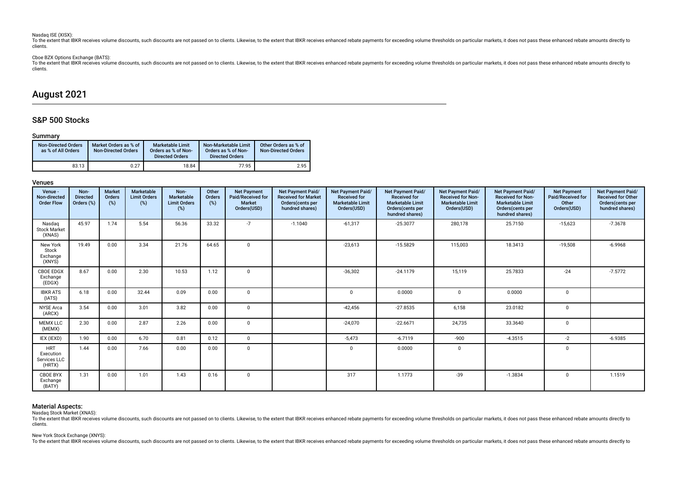### Nasdaq ISE (XISX):

To the extent that IBKR receives volume discounts, such discounts are not passed on to clients. Likewise, to the extent that IBKR receives enhanced rebate payments for exceeding volume thresholds on particular markets, it clients.

# Cboe BZX Options Exchange (BATS):

To the extent that lBKR receives volume discounts, such discounts are not passed on to clients. Likewise, to the extent that IBKR receives enhanced rebate payments for exceeding volume thresholds on particular markets, it clients.

# August 2021

# S&P 500 Stocks

# Summary

| <b>Non-Directed Orders</b><br>as % of All Orders | Market Orders as % of<br><b>Non-Directed Orders</b> | Marketable Limit<br>Orders as % of Non-<br><b>Directed Orders</b> | Non-Marketable Limit<br>Orders as % of Non-<br><b>Directed Orders</b> | Other Orders as % of<br><b>Non-Directed Orders</b> |
|--------------------------------------------------|-----------------------------------------------------|-------------------------------------------------------------------|-----------------------------------------------------------------------|----------------------------------------------------|
| 83.13                                            | 0.27                                                | 18.84                                                             | 77.95                                                                 | 2.95                                               |

# Venues

| Venue -<br>Non-directed<br><b>Order Flow</b>      | Non-<br><b>Directed</b><br>Orders (%) | <b>Market</b><br>Orders<br>(%) | <b>Marketable</b><br><b>Limit Orders</b><br>(%) | Non-<br>Marketable<br><b>Limit Orders</b><br>(%) | Other<br>Orders<br>(%) | <b>Net Payment</b><br>Paid/Received for<br><b>Market</b><br>Orders(USD) | <b>Net Payment Paid/</b><br><b>Received for Market</b><br>Orders(cents per<br>hundred shares) | Net Payment Paid/<br><b>Received for</b><br><b>Marketable Limit</b><br>Orders(USD) | <b>Net Payment Paid/</b><br><b>Received for</b><br><b>Marketable Limit</b><br>Orders(cents per<br>hundred shares) | <b>Net Payment Paid/</b><br><b>Received for Non-</b><br><b>Marketable Limit</b><br>Orders(USD) | Net Payment Paid/<br><b>Received for Non-</b><br><b>Marketable Limit</b><br>Orders(cents per<br>hundred shares) | <b>Net Payment</b><br>Paid/Received for<br>Other<br>Orders(USD) | Net Payment Paid/<br><b>Received for Other</b><br>Orders(cents per<br>hundred shares) |
|---------------------------------------------------|---------------------------------------|--------------------------------|-------------------------------------------------|--------------------------------------------------|------------------------|-------------------------------------------------------------------------|-----------------------------------------------------------------------------------------------|------------------------------------------------------------------------------------|-------------------------------------------------------------------------------------------------------------------|------------------------------------------------------------------------------------------------|-----------------------------------------------------------------------------------------------------------------|-----------------------------------------------------------------|---------------------------------------------------------------------------------------|
| Nasdag<br><b>Stock Market</b><br>(XNAS)           | 45.97                                 | 1.74                           | 5.54                                            | 56.36                                            | 33.32                  | $-7$                                                                    | $-1.1040$                                                                                     | $-61,317$                                                                          | $-25.3077$                                                                                                        | 280,178                                                                                        | 25.7150                                                                                                         | $-15,623$                                                       | $-7.3678$                                                                             |
| New York<br>Stock<br>Exchange<br>(XNYS)           | 19.49                                 | 0.00                           | 3.34                                            | 21.76                                            | 64.65                  | $\mathbf 0$                                                             |                                                                                               | $-23,613$                                                                          | $-15.5829$                                                                                                        | 115,003                                                                                        | 18.3413                                                                                                         | $-19,508$                                                       | $-6.9968$                                                                             |
| <b>CBOE EDGX</b><br>Exchange<br>(EDGX)            | 8.67                                  | 0.00                           | 2.30                                            | 10.53                                            | 1.12                   | $\mathbf 0$                                                             |                                                                                               | $-36,302$                                                                          | $-24.1179$                                                                                                        | 15,119                                                                                         | 25.7833                                                                                                         | $-24$                                                           | $-7.5772$                                                                             |
| <b>IBKR ATS</b><br>(IATS)                         | 6.18                                  | 0.00                           | 32.44                                           | 0.09                                             | 0.00                   | 0                                                                       |                                                                                               | $\Omega$                                                                           | 0.0000                                                                                                            | $\mathbf 0$                                                                                    | 0.0000                                                                                                          | 0                                                               |                                                                                       |
| <b>NYSE Arca</b><br>(ARCX)                        | 3.54                                  | 0.00                           | 3.01                                            | 3.82                                             | 0.00                   | $\mathbf 0$                                                             |                                                                                               | $-42,456$                                                                          | $-27.8535$                                                                                                        | 6,158                                                                                          | 23.0182                                                                                                         | $\Omega$                                                        |                                                                                       |
| <b>MEMX LLC</b><br>(MEMX)                         | 2.30                                  | 0.00                           | 2.87                                            | 2.26                                             | 0.00                   | $\mathbf 0$                                                             |                                                                                               | $-24,070$                                                                          | $-22.6671$                                                                                                        | 24,735                                                                                         | 33.3640                                                                                                         | $\mathbf 0$                                                     |                                                                                       |
| IEX (IEXD)                                        | 1.90                                  | 0.00                           | 6.70                                            | 0.81                                             | 0.12                   | $\mathbf 0$                                                             |                                                                                               | $-5,473$                                                                           | $-6.7119$                                                                                                         | $-900$                                                                                         | $-4.3515$                                                                                                       | $-2$                                                            | $-6.9385$                                                                             |
| <b>HRT</b><br>Execution<br>Services LLC<br>(HRTX) | 1.44                                  | 0.00                           | 7.66                                            | 0.00                                             | 0.00                   | $\mathbf 0$                                                             |                                                                                               | $\Omega$                                                                           | 0.0000                                                                                                            | $\mathbf 0$                                                                                    |                                                                                                                 | $\mathbf{0}$                                                    |                                                                                       |
| <b>CBOE BYX</b><br>Exchange<br>(BATY)             | 1.31                                  | 0.00                           | 1.01                                            | 1.43                                             | 0.16                   | $\mathbf 0$                                                             |                                                                                               | 317                                                                                | 1.1773                                                                                                            | $-39$                                                                                          | $-1.3834$                                                                                                       | $\mathbf{0}$                                                    | 1.1519                                                                                |

# Material Aspects:

Nasdaq Stock Market (XNAS):

To the extent that IBKR receives volume discounts, such discounts are not passed on to clients. Likewise, to the extent that IBKR receives enhanced rebate payments for exceeding volume thresholds on particular markets, it clients.

# New York Stock Exchange (XNYS):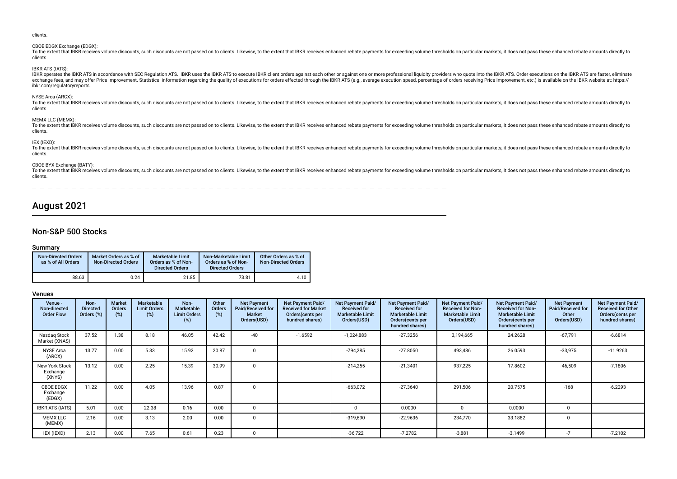| CBOE EDGX Exchange (EDGX):<br>To the extent that IBKR receives volume discounts, such discounts are not passed on to clients. Likewise, to the extent that IBKR receives enhanced rebate payments for exceeding volume thresholds on particular markets, it<br>clients.                                                                                                                                                                                                                                                    |
|----------------------------------------------------------------------------------------------------------------------------------------------------------------------------------------------------------------------------------------------------------------------------------------------------------------------------------------------------------------------------------------------------------------------------------------------------------------------------------------------------------------------------|
| <b>IBKR ATS (IATS):</b><br>IBKR operates the IBKR ATS in accordance with SEC Regulation ATS. IBKR uses the IBKR ATS to execute IBKR client orders against each other or against one or more professional liquidity providers who quote into the IBKR ATS.<br>exchange fees, and may offer Price Improvement. Statistical information regarding the quality of executions for orders effected through the IBKR ATS (e.g., average execution speed, percentage of orders receiving Price Impr<br>ibkr.com/regulatoryreports. |
| NYSE Arca (ARCX):<br>To the extent that IBKR receives volume discounts, such discounts are not passed on to clients. Likewise, to the extent that IBKR receives enhanced rebate payments for exceeding volume thresholds on particular markets, it<br>clients.                                                                                                                                                                                                                                                             |
| MEMX LLC (MEMX):<br>To the extent that IBKR receives volume discounts, such discounts are not passed on to clients. Likewise, to the extent that IBKR receives enhanced rebate payments for exceeding volume thresholds on particular markets, it<br>clients.                                                                                                                                                                                                                                                              |
| IEX (IEXD):<br>To the extent that IBKR receives volume discounts, such discounts are not passed on to clients. Likewise, to the extent that IBKR receives enhanced rebate payments for exceeding volume thresholds on particular markets, it<br>clients.                                                                                                                                                                                                                                                                   |
| CBOE BYX Exchange (BATY):<br>To the extent that IBKR receives volume discounts, such discounts are not passed on to clients. Likewise, to the extent that IBKR receives enhanced rebate payments for exceeding volume thresholds on particular markets, it<br>clients.                                                                                                                                                                                                                                                     |
|                                                                                                                                                                                                                                                                                                                                                                                                                                                                                                                            |

# August 2021

# Non-S&P 500 Stocks

# Summary

| <b>Non-Directed Orders</b><br>as % of All Orders | Market Orders as % of<br><b>Non-Directed Orders</b> | <b>Marketable Limit</b><br>Orders as % of Non-<br><b>Directed Orders</b> | Non-Marketable Limit<br>Orders as % of Non-<br><b>Directed Orders</b> | Other Orders as % of<br><b>Non-Directed Orders</b> |
|--------------------------------------------------|-----------------------------------------------------|--------------------------------------------------------------------------|-----------------------------------------------------------------------|----------------------------------------------------|
| 88.63                                            | 0.24                                                | 21.85                                                                    | 73.81                                                                 | 4.10                                               |

# Venues

| Venue -<br>Non-directed<br><b>Order Flow</b> | Non-<br><b>Directed</b><br>Orders (%) | <b>Market</b><br>Orders<br>(%) | <b>Marketable</b><br><b>Limit Orders</b><br>(%) | Non-<br>Marketable<br><b>Limit Orders</b> | Other<br>Orders<br>(%) | <b>Net Payment</b><br>Paid/Received for<br><b>Market</b><br>Orders(USD) | Net Payment Paid/<br><b>Received for Market</b><br>Orders(cents per<br>hundred shares) | Net Payment Paid/<br><b>Received for</b><br><b>Marketable Limit</b><br>Orders(USD) | Net Payment Paid/<br><b>Received for</b><br><b>Marketable Limit</b><br>Orders (cents per<br>hundred shares) | Net Payment Paid/<br><b>Received for Non-</b><br><b>Marketable Limit</b><br>Orders(USD) | Net Payment Paid/<br><b>Received for Non-</b><br><b>Marketable Limit</b><br>Orders (cents per<br>hundred shares) | <b>Net Payment</b><br>Paid/Received for<br>Other<br>Orders(USD) | Net Payment Paid/<br><b>Received for Other</b><br>Orders (cents per<br>hundred shares) |
|----------------------------------------------|---------------------------------------|--------------------------------|-------------------------------------------------|-------------------------------------------|------------------------|-------------------------------------------------------------------------|----------------------------------------------------------------------------------------|------------------------------------------------------------------------------------|-------------------------------------------------------------------------------------------------------------|-----------------------------------------------------------------------------------------|------------------------------------------------------------------------------------------------------------------|-----------------------------------------------------------------|----------------------------------------------------------------------------------------|
| Nasdag Stock<br>Market (XNAS)                | 37.52                                 | 1.38                           | 8.18                                            | 46.05                                     | 42.42                  | $-40$                                                                   | $-1.6592$                                                                              | $-1,024,883$                                                                       | $-27.3256$                                                                                                  | 3,194,665                                                                               | 24.2628                                                                                                          | $-67,791$                                                       | $-6.6814$                                                                              |
| <b>NYSE Arca</b><br>(ARCX)                   | 13.77                                 | 0.00                           | 5.33                                            | 15.92                                     | 20.87                  |                                                                         |                                                                                        | $-794,285$                                                                         | $-27.8050$                                                                                                  | 493,486                                                                                 | 26.0593                                                                                                          | $-33,975$                                                       | $-11.9263$                                                                             |
| New York Stock<br>Exchange<br>(XNYS)         | 13.12                                 | 0.00                           | 2.25                                            | 15.39                                     | 30.99                  |                                                                         |                                                                                        | $-214,255$                                                                         | $-21.3401$                                                                                                  | 937,225                                                                                 | 17.8602                                                                                                          | $-46,509$                                                       | $-7.1806$                                                                              |
| CBOE EDGX<br>Exchange<br>(EDGX)              | 11.22                                 | 0.00                           | 4.05                                            | 13.96                                     | 0.87                   |                                                                         |                                                                                        | $-663,072$                                                                         | $-27.3640$                                                                                                  | 291,506                                                                                 | 20.7575                                                                                                          | $-168$                                                          | $-6.2293$                                                                              |
| <b>IBKR ATS (IATS)</b>                       | 5.01                                  | 0.00                           | 22.38                                           | 0.16                                      | 0.00                   |                                                                         |                                                                                        |                                                                                    | 0.0000                                                                                                      |                                                                                         | 0.0000                                                                                                           |                                                                 |                                                                                        |
| <b>MEMX LLC</b><br>(MEMX)                    | 2.16                                  | 0.00                           | 3.13                                            | 2.00                                      | 0.00                   |                                                                         |                                                                                        | $-319,690$                                                                         | $-22.9636$                                                                                                  | 234,770                                                                                 | 33.1882                                                                                                          |                                                                 |                                                                                        |
| IEX (IEXD)                                   | 2.13                                  | 0.00                           | 7.65                                            | 0.61                                      | 0.23                   |                                                                         |                                                                                        | $-36,722$                                                                          | $-7.2782$                                                                                                   | $-3,881$                                                                                | $-3.1499$                                                                                                        | $-7$                                                            | $-7.2102$                                                                              |

clients.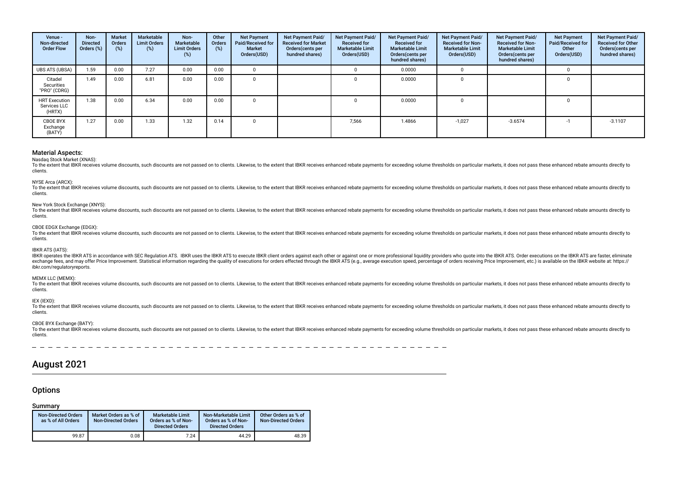| Venue -<br>Non-directed<br><b>Order Flow</b>   | Non-<br><b>Directed</b><br>Orders (%) | <b>Market</b><br>Orders<br>(%) | Marketable<br><b>Limit Orders</b><br>$(\%)$ | Non-<br>Marketable<br><b>Limit Orders</b><br>(%) | Other<br>Orders<br>(%) | <b>Net Payment</b><br>Paid/Received for<br><b>Market</b><br>Orders(USD) | <b>Net Payment Paid/</b><br><b>Received for Market</b><br>Orders (cents per<br>hundred shares) | Net Payment Paid/<br><b>Received for</b><br><b>Marketable Limit</b><br>Orders(USD) | Net Payment Paid/<br><b>Received for</b><br><b>Marketable Limit</b><br>Orders (cents per<br>hundred shares) | Net Payment Paid/<br><b>Received for Non-</b><br><b>Marketable Limit</b><br>Orders(USD) | Net Payment Paid/<br><b>Received for Non-</b><br><b>Marketable Limit</b><br>Orders (cents per<br>hundred shares) | <b>Net Payment</b><br>Paid/Received for<br>Other<br>Orders(USD) | Net Payment Paid/<br><b>Received for Other</b><br>Orders(cents per<br>hundred shares) |
|------------------------------------------------|---------------------------------------|--------------------------------|---------------------------------------------|--------------------------------------------------|------------------------|-------------------------------------------------------------------------|------------------------------------------------------------------------------------------------|------------------------------------------------------------------------------------|-------------------------------------------------------------------------------------------------------------|-----------------------------------------------------------------------------------------|------------------------------------------------------------------------------------------------------------------|-----------------------------------------------------------------|---------------------------------------------------------------------------------------|
| <b>UBS ATS (UBSA)</b>                          | 1.59                                  | 0.00                           | 7.27                                        | 0.00                                             | 0.00                   |                                                                         |                                                                                                |                                                                                    | 0.0000                                                                                                      |                                                                                         |                                                                                                                  |                                                                 |                                                                                       |
| Citadel<br>Securities<br>"PRO" (CDRG)          | 1.49                                  | 0.00                           | 6.81                                        | 0.00                                             | 0.00                   |                                                                         |                                                                                                |                                                                                    | 0.0000                                                                                                      |                                                                                         |                                                                                                                  |                                                                 |                                                                                       |
| <b>HRT Execution</b><br>Services LLC<br>(HRTX) | 1.38                                  | 0.00                           | 6.34                                        | 0.00                                             | 0.00                   |                                                                         |                                                                                                |                                                                                    | 0.0000                                                                                                      |                                                                                         |                                                                                                                  |                                                                 |                                                                                       |
| <b>CBOE BYX</b><br>Exchange<br>(BATY)          | 1.27                                  | 0.00                           | 1.33                                        | 1.32                                             | 0.14                   |                                                                         |                                                                                                | 7,566                                                                              | 1.4866                                                                                                      | $-1,027$                                                                                | $-3.6574$                                                                                                        |                                                                 | $-3.1107$                                                                             |

Nasdaq Stock Market (XNAS):

To the extent that IBKR receives volume discounts, such discounts are not passed on to clients. Likewise, to the extent that IBKR receives enhanced rebate payments for exceeding volume thresholds on particular markets, it clients.

### NYSE Arca (ARCX):

To the extent that IBKR receives volume discounts, such discounts are not passed on to clients. Likewise, to the extent that IBKR receives enhanced rebate payments for exceeding volume thresholds on particular markets, it clients.

### New York Stock Exchange (XNYS):

To the extent that IBKR receives volume discounts, such discounts are not passed on to clients. Likewise, to the extent that IBKR receives enhanced rebate payments for exceeding volume thresholds on particular markets, it clients.

## CBOE EDGX Exchange (EDGX):

To the extent that IBKR receives volume discounts, such discounts are not passed on to clients. Likewise, to the extent that IBKR receives enhanced rebate payments for exceeding volume thresholds on particular markets, it clients.

### IBKR ATS (IATS):

IBKR operates the IBKR ATS in accordance with SEC Regulation ATS. IBKR uses the IBKR ATS to execute IBKR client orders against each other or against one or more professional liquidity providers who quote into the IBKR ATS. exchange fees, and may offer Price Improvement. Statistical information regarding the quality of executions for orders effected through the IBKR ATS (e.g., average execution speed, percentage of orders receiving Price Impr ibkr.com/regulatoryreports.

### MEMX LLC (MEMX):

To the extent that IBKR receives volume discounts, such discounts are not passed on to clients. Likewise, to the extent that IBKR receives enhanced rebate payments for exceeding volume thresholds on particular markets, it clients.

### IEX (IEXD):

To the extent that IBKR receives volume discounts, such discounts are not passed on to clients. Likewise, to the extent that IBKR receives enhanced rebate payments for exceeding volume thresholds on particular markets, it clients.

# CBOE BYX Exchange (BATY):

To the extent that IBKR receives volume discounts, such discounts are not passed on to clients. Likewise, to the extent that IBKR receives enhanced rebate payments for exceeding volume thresholds on particular markets, it clients.

# August 2021

# **Options**

# Summary

| <b>Non-Directed Orders</b><br>as % of All Orders | Market Orders as % of<br><b>Non-Directed Orders</b> | <b>Marketable Limit</b><br>Orders as % of Non-<br><b>Directed Orders</b> | Non-Marketable Limit<br>Orders as % of Non-<br><b>Directed Orders</b> | Other Orders as % of<br><b>Non-Directed Orders</b> |
|--------------------------------------------------|-----------------------------------------------------|--------------------------------------------------------------------------|-----------------------------------------------------------------------|----------------------------------------------------|
| 99.87                                            | 0.08                                                | 7.24                                                                     | 44.29                                                                 | 48.39                                              |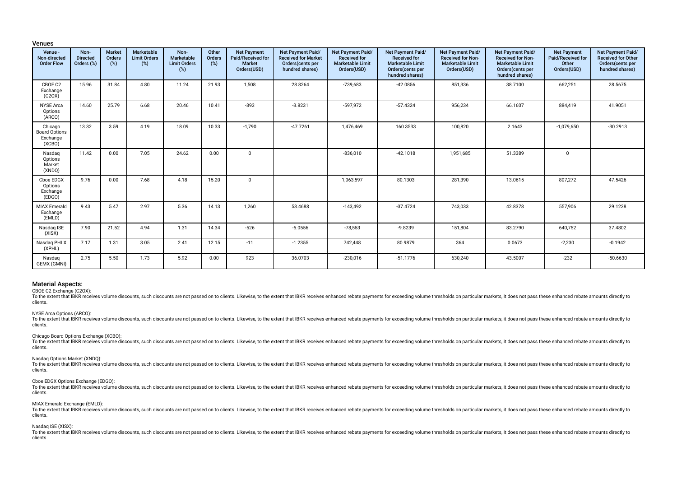### Venues

| Venue -<br>Non-directed<br><b>Order Flow</b>          | Non-<br><b>Directed</b><br>Orders (%) | <b>Market</b><br>Orders<br>(%) | Marketable<br><b>Limit Orders</b><br>(%) | Non-<br>Marketable<br><b>Limit Orders</b><br>$(\%)$ | Other<br>Orders<br>$(\%)$ | <b>Net Payment</b><br>Paid/Received for<br>Market<br>Orders(USD) | Net Payment Paid/<br><b>Received for Market</b><br>Orders(cents per<br>hundred shares) | Net Payment Paid/<br><b>Received for</b><br><b>Marketable Limit</b><br>Orders(USD) | Net Payment Paid/<br><b>Received for</b><br><b>Marketable Limit</b><br>Orders(cents per<br>hundred shares) | Net Payment Paid/<br><b>Received for Non-</b><br><b>Marketable Limit</b><br>Orders(USD) | Net Payment Paid/<br><b>Received for Non-</b><br><b>Marketable Limit</b><br>Orders(cents per<br>hundred shares) | <b>Net Payment</b><br>Paid/Received for<br>Other<br>Orders(USD) | Net Payment Paid/<br>Received for Other<br>Orders(cents per<br>hundred shares) |
|-------------------------------------------------------|---------------------------------------|--------------------------------|------------------------------------------|-----------------------------------------------------|---------------------------|------------------------------------------------------------------|----------------------------------------------------------------------------------------|------------------------------------------------------------------------------------|------------------------------------------------------------------------------------------------------------|-----------------------------------------------------------------------------------------|-----------------------------------------------------------------------------------------------------------------|-----------------------------------------------------------------|--------------------------------------------------------------------------------|
| CBOE C2<br>Exchange<br>(C20X)                         | 15.96                                 | 31.84                          | 4.80                                     | 11.24                                               | 21.93                     | 1,508                                                            | 28.8264                                                                                | -739,683                                                                           | $-42.0856$                                                                                                 | 851,336                                                                                 | 38.7100                                                                                                         | 662,251                                                         | 28.5675                                                                        |
| <b>NYSE Arca</b><br>Options<br>(ARCO)                 | 14.60                                 | 25.79                          | 6.68                                     | 20.46                                               | 10.41                     | $-393$                                                           | $-3.8231$                                                                              | -597,972                                                                           | $-57.4324$                                                                                                 | 956,234                                                                                 | 66.1607                                                                                                         | 884,419                                                         | 41.9051                                                                        |
| Chicago<br><b>Board Options</b><br>Exchange<br>(XCBO) | 13.32                                 | 3.59                           | 4.19                                     | 18.09                                               | 10.33                     | $-1,790$                                                         | $-47.7261$                                                                             | 1,476,469                                                                          | 160.3533                                                                                                   | 100,820                                                                                 | 2.1643                                                                                                          | $-1,079,650$                                                    | $-30.2913$                                                                     |
| Nasdag<br>Options<br>Market<br>(XNDQ)                 | 11.42                                 | 0.00                           | 7.05                                     | 24.62                                               | 0.00                      | $\mathbf 0$                                                      |                                                                                        | $-836,010$                                                                         | $-42.1018$                                                                                                 | 1,951,685                                                                               | 51.3389                                                                                                         | 0                                                               |                                                                                |
| Cboe EDGX<br>Options<br>Exchange<br>(EDGO)            | 9.76                                  | 0.00                           | 7.68                                     | 4.18                                                | 15.20                     | $\mathbf 0$                                                      |                                                                                        | 1,063,597                                                                          | 80.1303                                                                                                    | 281,390                                                                                 | 13.0615                                                                                                         | 807,272                                                         | 47.5426                                                                        |
| <b>MIAX Emerald</b><br>Exchange<br>(EMLD)             | 9.43                                  | 5.47                           | 2.97                                     | 5.36                                                | 14.13                     | 1,260                                                            | 53.4688                                                                                | $-143,492$                                                                         | $-37.4724$                                                                                                 | 743,033                                                                                 | 42.8378                                                                                                         | 557,906                                                         | 29.1228                                                                        |
| Nasdag ISE<br>(XISX)                                  | 7.90                                  | 21.52                          | 4.94                                     | 1.31                                                | 14.34                     | $-526$                                                           | $-5.0556$                                                                              | $-78,553$                                                                          | $-9.8239$                                                                                                  | 151,804                                                                                 | 83.2790                                                                                                         | 640,752                                                         | 37.4802                                                                        |
| Nasdaq PHLX<br>(XPHL)                                 | 7.17                                  | 1.31                           | 3.05                                     | 2.41                                                | 12.15                     | $-11$                                                            | $-1.2355$                                                                              | 742,448                                                                            | 80.9879                                                                                                    | 364                                                                                     | 0.0673                                                                                                          | $-2,230$                                                        | $-0.1942$                                                                      |
| Nasdaq<br>GEMX (GMNI)                                 | 2.75                                  | 5.50                           | 1.73                                     | 5.92                                                | 0.00                      | 923                                                              | 36.0703                                                                                | $-230,016$                                                                         | $-51.1776$                                                                                                 | 630,240                                                                                 | 43.5007                                                                                                         | $-232$                                                          | $-50.6630$                                                                     |

### Material Aspects:

CBOE C2 Exchange (C2OX):

To the extent that IBKR receives volume discounts, such discounts are not passed on to clients. Likewise, to the extent that IBKR receives enhanced rebate payments for exceeding volume thresholds on particular markets, it clients.

#### NYSE Arca Options (ARCO):

To the extent that IBKR receives volume discounts, such discounts are not passed on to clients. Likewise, to the extent that IBKR receives enhanced rebate payments for exceeding volume thresholds on particular markets, it clients.

#### Chicago Board Options Exchange (XCBO):

To the extent that IBKR receives volume discounts, such discounts are not passed on to clients. Likewise, to the extent that IBKR receives enhanced rebate payments for exceeding volume thresholds on particular markets, it clients.

### Nasdaq Options Market (XNDQ):

To the extent that IBKR receives volume discounts, such discounts are not passed on to clients. Likewise, to the extent that IBKR receives enhanced rebate payments for exceeding volume thresholds on particular markets, it clients.

#### Cboe EDGX Options Exchange (EDGO):

To the extent that IBKR receives volume discounts, such discounts are not passed on to clients. Likewise, to the extent that IBKR receives enhanced rebate payments for exceeding volume thresholds on particular markets, it clients.

### MIAX Emerald Exchange (EMLD):

To the extent that IBKR receives volume discounts, such discounts are not passed on to clients. Likewise, to the extent that IBKR receives enhanced rebate payments for exceeding volume thresholds on particular markets, it clients.

### Nasdaq ISE (XISX):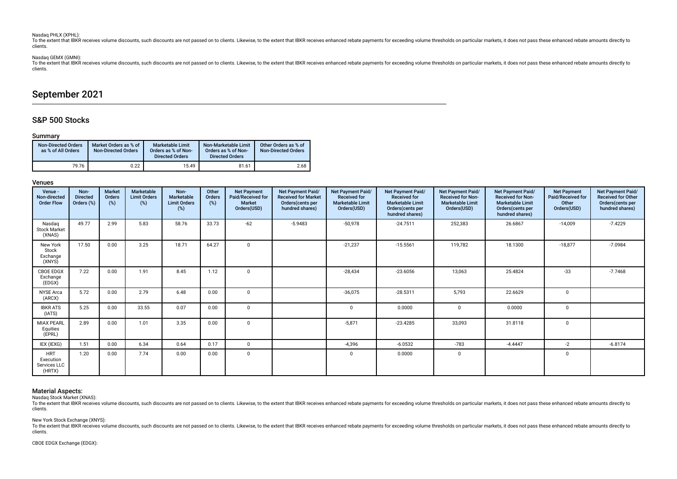### Nasdaq PHLX (XPHL):

To the extent that IBKR receives volume discounts, such discounts are not passed on to clients. Likewise, to the extent that IBKR receives enhanced rebate payments for exceeding volume thresholds on particular markets, it clients.

# Nasdaq GEMX (GMNI):

To the extent that IBKR receives volume discounts, such discounts are not passed on to clients. Likewise, to the extent that IBKR receives enhanced rebate payments for exceeding volume thresholds on particular markets, it clients.

# September 2021

# S&P 500 Stocks

# Summary

| <b>Non-Directed Orders</b><br>as % of All Orders | Market Orders as % of<br><b>Non-Directed Orders</b> | <b>Marketable Limit</b><br>Orders as % of Non-<br><b>Directed Orders</b> | Non-Marketable Limit<br>Orders as % of Non-<br><b>Directed Orders</b> | Other Orders as % of<br><b>Non-Directed Orders</b> |
|--------------------------------------------------|-----------------------------------------------------|--------------------------------------------------------------------------|-----------------------------------------------------------------------|----------------------------------------------------|
| 79.76                                            | 0.22                                                | 15.49                                                                    | 81.61                                                                 | 2.68                                               |

# Venues

| Venue -<br>Non-directed<br><b>Order Flow</b>      | Non-<br><b>Directed</b><br>Orders (%) | <b>Market</b><br>Orders<br>(%) | Marketable<br><b>Limit Orders</b><br>(%) | Non-<br>Marketable<br><b>Limit Orders</b><br>(%) | Other<br>Orders<br>(%) | <b>Net Payment</b><br>Paid/Received for<br><b>Market</b><br>Orders(USD) | Net Payment Paid/<br><b>Received for Market</b><br>Orders (cents per<br>hundred shares) | Net Payment Paid/<br><b>Received for</b><br><b>Marketable Limit</b><br>Orders(USD) | Net Payment Paid/<br><b>Received for</b><br><b>Marketable Limit</b><br>Orders(cents per<br>hundred shares) | Net Payment Paid/<br><b>Received for Non-</b><br><b>Marketable Limit</b><br>Orders(USD) | Net Payment Paid/<br><b>Received for Non-</b><br><b>Marketable Limit</b><br>Orders(cents per<br>hundred shares) | <b>Net Payment</b><br>Paid/Received for<br>Other<br>Orders(USD) | Net Payment Paid/<br><b>Received for Other</b><br>Orders(cents per<br>hundred shares) |
|---------------------------------------------------|---------------------------------------|--------------------------------|------------------------------------------|--------------------------------------------------|------------------------|-------------------------------------------------------------------------|-----------------------------------------------------------------------------------------|------------------------------------------------------------------------------------|------------------------------------------------------------------------------------------------------------|-----------------------------------------------------------------------------------------|-----------------------------------------------------------------------------------------------------------------|-----------------------------------------------------------------|---------------------------------------------------------------------------------------|
| Nasdag<br><b>Stock Market</b><br>(XNAS)           | 49.77                                 | 2.99                           | 5.83                                     | 58.76                                            | 33.73                  | $-62$                                                                   | $-5.9483$                                                                               | $-50,978$                                                                          | $-24.7511$                                                                                                 | 252,383                                                                                 | 26.6867                                                                                                         | $-14,009$                                                       | $-7.4229$                                                                             |
| New York<br>Stock<br>Exchange<br>(XNYS)           | 17.50                                 | 0.00                           | 3.25                                     | 18.71                                            | 64.27                  | $\mathbf 0$                                                             |                                                                                         | $-21,237$                                                                          | $-15.5561$                                                                                                 | 119,782                                                                                 | 18.1300                                                                                                         | $-18,877$                                                       | $-7.0984$                                                                             |
| CBOE EDGX<br>Exchange<br>(EDGX)                   | 7.22                                  | 0.00                           | 1.91                                     | 8.45                                             | 1.12                   | $\mathbf 0$                                                             |                                                                                         | $-28,434$                                                                          | $-23.6056$                                                                                                 | 13,063                                                                                  | 25.4824                                                                                                         | $-33$                                                           | $-7.7468$                                                                             |
| NYSE Arca<br>(ARCX)                               | 5.72                                  | 0.00                           | 2.79                                     | 6.48                                             | 0.00                   | 0                                                                       |                                                                                         | $-36,075$                                                                          | $-28.5311$                                                                                                 | 5,793                                                                                   | 22.6629                                                                                                         | 0                                                               |                                                                                       |
| <b>IBKR ATS</b><br>(IATS)                         | 5.25                                  | 0.00                           | 33.55                                    | 0.07                                             | 0.00                   | $\mathbf 0$                                                             |                                                                                         | $\Omega$                                                                           | 0.0000                                                                                                     | $\Omega$                                                                                | 0.0000                                                                                                          | $\mathbf 0$                                                     |                                                                                       |
| <b>MIAX PEARL</b><br>Equities<br>(EPRL)           | 2.89                                  | 0.00                           | 1.01                                     | 3.35                                             | 0.00                   | $\mathbf 0$                                                             |                                                                                         | $-5,871$                                                                           | $-23.4285$                                                                                                 | 33,093                                                                                  | 31.8118                                                                                                         | $\mathbf{0}$                                                    |                                                                                       |
| IEX (IEXG)                                        | 1.51                                  | 0.00                           | 6.34                                     | 0.64                                             | 0.17                   | $\mathbf 0$                                                             |                                                                                         | $-4,396$                                                                           | $-6.0532$                                                                                                  | $-783$                                                                                  | $-4.4447$                                                                                                       | $-2$                                                            | $-6.8174$                                                                             |
| <b>HRT</b><br>Execution<br>Services LLC<br>(HRTX) | 1.20                                  | 0.00                           | 7.74                                     | 0.00                                             | 0.00                   | $\mathbf 0$                                                             |                                                                                         | $\Omega$                                                                           | 0.0000                                                                                                     | $\mathbf 0$                                                                             |                                                                                                                 | $\mathbf{0}$                                                    |                                                                                       |

# Material Aspects:

Nasdaq Stock Market (XNAS):

To the extent that IBKR receives volume discounts, such discounts are not passed on to clients. Likewise, to the extent that IBKR receives enhanced rebate payments for exceeding volume thresholds on particular markets, it clients.

New York Stock Exchange (XNYS):

To the extent that IBKR receives volume discounts, such discounts are not passed on to clients. Likewise, to the extent that IBKR receives enhanced rebate payments for exceeding volume thresholds on particular markets, it clients.

CBOE EDGX Exchange (EDGX):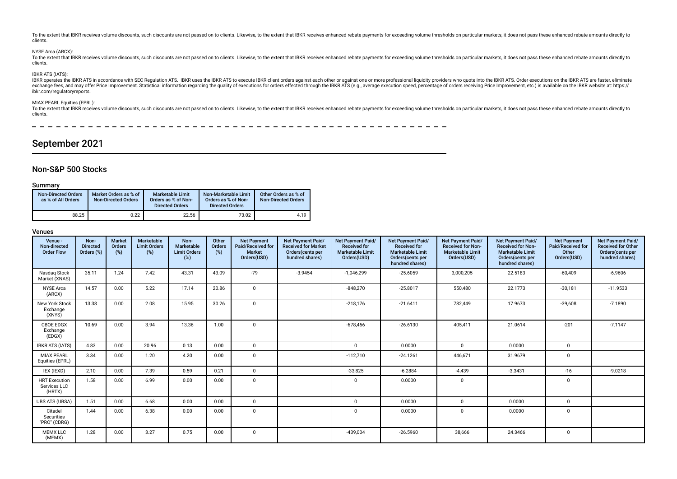To the extent that IBKR receives volume discounts, such discounts are not passed on to clients. Likewise, to the extent that IBKR receives enhanced rebate payments for exceeding volume thresholds on particular markets, it clients.

# NYSE Arca (ARCX):

To the extent that JBKR receives volume discounts, such discounts are not passed on to clients. Likewise, to the extent that IBKR receives enhanced rebate payments for exceeding volume thresholds on particular markets, it clients.

# IBKR ATS (IATS):

IBKR operates the IBKR ATS in accordance with SEC Regulation ATS. IBKR uses the IBKR ATS to execute IBKR client orders against each other or against one or more professional liquidity providers who quote into the IBKR ATS. exchange fees, and may offer Price Improvement. Statistical information regarding the guality of executions for orders effected through the IBKR ATS (e.g., average execution speed, percentage of orders receiving Price Impr ibkr.com/regulatoryreports.

### MIAX PEARL Equities (EPRL):

To the extent that IBKR receives volume discounts, such discounts are not passed on to clients. Likewise, to the extent that IBKR receives enhanced rebate payments for exceeding volume thresholds on particular markets, it clients.

# September 2021

# Non-S&P 500 Stocks

### Summary

| <b>Non-Directed Orders</b><br>as % of All Orders | Market Orders as % of<br><b>Non-Directed Orders</b> | <b>Marketable Limit</b><br>Orders as % of Non-<br><b>Directed Orders</b> | Non-Marketable Limit<br>Orders as % of Non-<br><b>Directed Orders</b> | Other Orders as % of<br><b>Non-Directed Orders</b> |
|--------------------------------------------------|-----------------------------------------------------|--------------------------------------------------------------------------|-----------------------------------------------------------------------|----------------------------------------------------|
| 88.25                                            | 0.22                                                | 22.56                                                                    | 73.02                                                                 | 4.19                                               |

# Venues

| Venue -<br>Non-directed<br><b>Order Flow</b>   | Non-<br><b>Directed</b><br>Orders (%) | Market<br>Orders<br>(%) | Marketable<br><b>Limit Orders</b><br>(%) | Non-<br>Marketable<br><b>Limit Orders</b><br>(%) | Other<br>Orders<br>(%) | <b>Net Payment</b><br>Paid/Received for<br><b>Market</b><br>Orders(USD) | Net Payment Paid/<br><b>Received for Market</b><br>Orders (cents per<br>hundred shares) | Net Payment Paid/<br><b>Received for</b><br><b>Marketable Limit</b><br>Orders(USD) | <b>Net Payment Paid/</b><br><b>Received for</b><br><b>Marketable Limit</b><br>Orders(cents per<br>hundred shares) | Net Payment Paid/<br><b>Received for Non-</b><br><b>Marketable Limit</b><br>Orders(USD) | Net Payment Paid/<br><b>Received for Non-</b><br><b>Marketable Limit</b><br>Orders (cents per<br>hundred shares) | <b>Net Payment</b><br>Paid/Received for<br>Other<br>Orders(USD) | Net Payment Paid/<br><b>Received for Other</b><br>Orders(cents per<br>hundred shares) |
|------------------------------------------------|---------------------------------------|-------------------------|------------------------------------------|--------------------------------------------------|------------------------|-------------------------------------------------------------------------|-----------------------------------------------------------------------------------------|------------------------------------------------------------------------------------|-------------------------------------------------------------------------------------------------------------------|-----------------------------------------------------------------------------------------|------------------------------------------------------------------------------------------------------------------|-----------------------------------------------------------------|---------------------------------------------------------------------------------------|
| Nasdag Stock<br>Market (XNAS)                  | 35.11                                 | 1.24                    | 7.42                                     | 43.31                                            | 43.09                  | $-79$                                                                   | $-3.9454$                                                                               | $-1,046,299$                                                                       | $-25.6059$                                                                                                        | 3,000,205                                                                               | 22.5183                                                                                                          | $-60,409$                                                       | $-6.9606$                                                                             |
| <b>NYSE</b> Arca<br>(ARCX)                     | 14.57                                 | 0.00                    | 5.22                                     | 17.14                                            | 20.86                  | $\Omega$                                                                |                                                                                         | $-848.270$                                                                         | $-25.8017$                                                                                                        | 550.480                                                                                 | 22.1773                                                                                                          | $-30,181$                                                       | $-11.9533$                                                                            |
| New York Stock<br>Exchange<br>(XNYS)           | 13.38                                 | 0.00                    | 2.08                                     | 15.95                                            | 30.26                  | $\Omega$                                                                |                                                                                         | $-218,176$                                                                         | $-21.6411$                                                                                                        | 782,449                                                                                 | 17.9673                                                                                                          | $-39,608$                                                       | $-7.1890$                                                                             |
| <b>CBOE EDGX</b><br>Exchange<br>(EDGX)         | 10.69                                 | 0.00                    | 3.94                                     | 13.36                                            | 1.00                   | $\Omega$                                                                |                                                                                         | $-678,456$                                                                         | $-26.6130$                                                                                                        | 405.411                                                                                 | 21.0614                                                                                                          | $-201$                                                          | $-7.1147$                                                                             |
| <b>IBKR ATS (IATS)</b>                         | 4.83                                  | 0.00                    | 20.96                                    | 0.13                                             | 0.00                   | $\mathbf{0}$                                                            |                                                                                         | $\Omega$                                                                           | 0.0000                                                                                                            | $\Omega$                                                                                | 0.0000                                                                                                           | $\mathbf 0$                                                     |                                                                                       |
| <b>MIAX PEARL</b><br>Equities (EPRL)           | 3.34                                  | 0.00                    | 1.20                                     | 4.20                                             | 0.00                   | $\Omega$                                                                |                                                                                         | $-112,710$                                                                         | $-24.1261$                                                                                                        | 446.671                                                                                 | 31.9679                                                                                                          | $\mathbf 0$                                                     |                                                                                       |
| IEX (IEXD)                                     | 2.10                                  | 0.00                    | 7.39                                     | 0.59                                             | 0.21                   | $\mathbf 0$                                                             |                                                                                         | $-33,825$                                                                          | $-6.2884$                                                                                                         | $-4.439$                                                                                | $-3.3431$                                                                                                        | $-16$                                                           | $-9.0218$                                                                             |
| <b>HRT</b> Execution<br>Services LLC<br>(HRTX) | 1.58                                  | 0.00                    | 6.99                                     | 0.00                                             | 0.00                   | $\Omega$                                                                |                                                                                         | $\Omega$                                                                           | 0.0000                                                                                                            | $\mathbf 0$                                                                             |                                                                                                                  | $\Omega$                                                        |                                                                                       |
| <b>UBS ATS (UBSA)</b>                          | 1.51                                  | 0.00                    | 6.68                                     | 0.00                                             | 0.00                   | $\mathbf{0}$                                                            |                                                                                         | $\mathbf 0$                                                                        | 0.0000                                                                                                            | $\mathbf{0}$                                                                            | 0.0000                                                                                                           | $\mathbf 0$                                                     |                                                                                       |
| Citadel<br>Securities<br>"PRO" (CDRG)          | 1.44                                  | 0.00                    | 6.38                                     | 0.00                                             | 0.00                   | $\Omega$                                                                |                                                                                         | $\Omega$                                                                           | 0.0000                                                                                                            | $\Omega$                                                                                | 0.0000                                                                                                           | $\mathbf 0$                                                     |                                                                                       |
| <b>MEMX LLC</b><br>(MEMX)                      | 1.28                                  | 0.00                    | 3.27                                     | 0.75                                             | 0.00                   | $\Omega$                                                                |                                                                                         | $-439,004$                                                                         | $-26.5960$                                                                                                        | 38,666                                                                                  | 24.3466                                                                                                          | $\mathbf 0$                                                     |                                                                                       |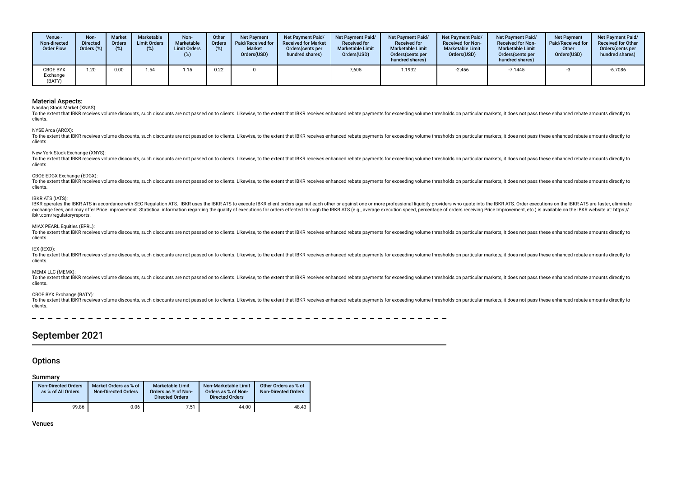| Venue -<br>Non-directed<br><b>Order Flow</b> | Non-<br><b>Directed</b><br>Orders (%) | <b>Market</b><br><b>Orders</b> | <b>Marketable</b><br><b>Limit Orders</b><br>(%) | Non-<br>Marketable<br><b>Limit Orders</b><br>(%) | Other<br>Orders | <b>Net Payment</b><br><b>Paid/Received for</b><br><b>Market</b><br>Orders(USD) | <b>Net Payment Paid/</b><br><b>Received for Market</b><br>Orders (cents per<br>hundred shares) | <b>Net Payment Paid/</b><br><b>Received for</b><br><b>Marketable Limit</b><br>Orders(USD) | <b>Net Payment Paid/</b><br><b>Received for</b><br><b>Marketable Limit</b><br>Orders(cents per<br>hundred shares) | Net Payment Paid/<br><b>Received for Non-</b><br><b>Marketable Limit</b><br>Orders(USD) | <b>Net Payment Paid/</b><br><b>Received for Non-</b><br><b>Marketable Limit</b><br>Orders (cents per<br>hundred shares) | <b>Net Payment</b><br>Paid/Received for<br>Other<br>Orders(USD) | <b>Net Payment Paid/</b><br><b>Received for Other</b><br>Orders(cents per<br>hundred shares) |
|----------------------------------------------|---------------------------------------|--------------------------------|-------------------------------------------------|--------------------------------------------------|-----------------|--------------------------------------------------------------------------------|------------------------------------------------------------------------------------------------|-------------------------------------------------------------------------------------------|-------------------------------------------------------------------------------------------------------------------|-----------------------------------------------------------------------------------------|-------------------------------------------------------------------------------------------------------------------------|-----------------------------------------------------------------|----------------------------------------------------------------------------------------------|
| <b>CBOE BYX</b><br>Exchange<br>(BATY)        | 1.20                                  | 0.00                           | 1.54                                            | .15                                              | 0.22            |                                                                                |                                                                                                | 7,605                                                                                     | 1.1932                                                                                                            | $-2.456$                                                                                | $-7.1445$                                                                                                               |                                                                 | $-6.7086$                                                                                    |

Nasdaq Stock Market (XNAS):

To the extent that IBKR receives volume discounts, such discounts are not passed on to clients. Likewise, to the extent that IBKR receives enhanced rebate payments for exceeding volume thresholds on particular markets, it clients.

NYSE Arca (ARCX):

To the extent that IBKR receives volume discounts, such discounts are not passed on to clients. Likewise, to the extent that IBKR receives enhanced rebate payments for exceeding volume thresholds on particular markets, it clients.

New York Stock Exchange (XNYS):

To the extent that IBKR receives volume discounts, such discounts are not passed on to clients. Likewise, to the extent that IBKR receives enhanced rebate payments for exceeding volume thresholds on particular markets, it clients.

### CBOE EDGX Exchange (EDGX):

To the extent that IBKR receives volume discounts, such discounts are not passed on to clients. Likewise, to the extent that IBKR receives enhanced rebate payments for exceeding volume thresholds on particular markets, it clients.

### IBKR ATS (IATS):

IBKR operates the IBKR ATS in accordance with SEC Regulation ATS. IBKR uses the IBKR ATS to execute IBKR client orders against each other or against one or more professional liguidity providers who quote into the IBKR ATS. exchange fees, and may offer Price Improvement. Statistical information regarding the quality of executions for orders effected through the IBKR ATS (e.g., average execution speed, percentage of orders receiving Price Impr ibkr.com/regulatoryreports.

### MIAX PEARL Equities (EPRL):

To the extent that IBKR receives volume discounts, such discounts are not passed on to clients. Likewise, to the extent that IBKR receives enhanced rebate payments for exceeding volume thresholds on particular markets, it clients.

### IEX (IEXD):

To the extent that IBKR receives volume discounts, such discounts are not passed on to clients. Likewise, to the extent that IBKR receives enhanced rebate payments for exceeding volume thresholds on particular markets, it clients.

### MEMX LLC (MEMX):

To the extent that IBKR receives volume discounts, such discounts are not passed on to clients. Likewise, to the extent that IBKR receives enhanced rebate payments for exceeding volume thresholds on particular markets, it clients.

# CBOE BYX Exchange (BATY):

To the extent that IBKR receives volume discounts, such discounts are not passed on to clients. Likewise, to the extent that IBKR receives enhanced rebate payments for exceeding volume thresholds on particular markets, it clients.

# September 2021

# **Options**

# Summary

| <b>Non-Directed Orders</b><br>as % of All Orders | Market Orders as % of<br><b>Non-Directed Orders</b> | <b>Marketable Limit</b><br>Orders as % of Non-<br><b>Directed Orders</b> | Non-Marketable Limit<br>Orders as % of Non-<br><b>Directed Orders</b> | Other Orders as % of<br><b>Non-Directed Orders</b> |
|--------------------------------------------------|-----------------------------------------------------|--------------------------------------------------------------------------|-----------------------------------------------------------------------|----------------------------------------------------|
| 99.86                                            | 0.06                                                | 7.51                                                                     | 44.00                                                                 | 48.43                                              |

Venues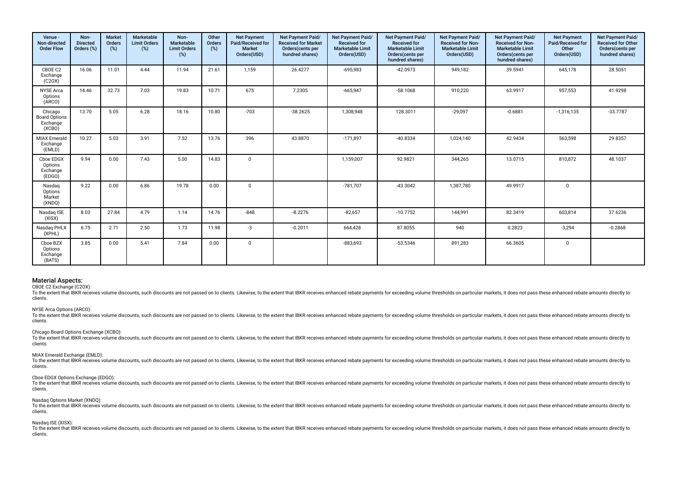| Venue -<br>Non-directed<br><b>Order Flow</b>          | Non-<br><b>Directed</b><br>Orders (%) | <b>Market</b><br>Orders<br>(%) | <b>Marketable</b><br><b>Limit Orders</b><br>(%) | Non-<br>Marketable<br><b>Limit Orders</b><br>$(\%)$ | Other<br>Orders<br>$(\%)$ | <b>Net Payment</b><br>Paid/Received for<br>Market<br>Orders(USD) | Net Payment Paid/<br><b>Received for Market</b><br>Orders(cents per<br>hundred shares) | Net Payment Paid/<br><b>Received for</b><br><b>Marketable Limit</b><br>Orders(USD) | Net Payment Paid/<br><b>Received for</b><br><b>Marketable Limit</b><br>Orders(cents per<br>hundred shares) | Net Payment Paid/<br><b>Received for Non-</b><br><b>Marketable Limit</b><br>Orders(USD) | Net Payment Paid/<br><b>Received for Non-</b><br><b>Marketable Limit</b><br>Orders(cents per<br>hundred shares) | <b>Net Payment</b><br>Paid/Received for<br>Other<br>Orders(USD) | Net Payment Paid/<br><b>Received for Other</b><br>Orders(cents per<br>hundred shares) |
|-------------------------------------------------------|---------------------------------------|--------------------------------|-------------------------------------------------|-----------------------------------------------------|---------------------------|------------------------------------------------------------------|----------------------------------------------------------------------------------------|------------------------------------------------------------------------------------|------------------------------------------------------------------------------------------------------------|-----------------------------------------------------------------------------------------|-----------------------------------------------------------------------------------------------------------------|-----------------------------------------------------------------|---------------------------------------------------------------------------------------|
| CBOE C2<br>Exchange<br>(C20X)                         | 16.06                                 | 11.01                          | 4.44                                            | 11.94                                               | 21.61                     | 1,159                                                            | 26.4277                                                                                | $-695,983$                                                                         | $-42.0973$                                                                                                 | 949,182                                                                                 | 39.5941                                                                                                         | 645,178                                                         | 28.5051                                                                               |
| <b>NYSE Arca</b><br>Options<br>(ARCO)                 | 14.46                                 | 32.73                          | 7.03                                            | 19.83                                               | 10.71                     | 675                                                              | 7.2305                                                                                 | $-665,947$                                                                         | $-58.1068$                                                                                                 | 910,220                                                                                 | 63.9917                                                                                                         | 957,553                                                         | 41.9298                                                                               |
| Chicago<br><b>Board Options</b><br>Exchange<br>(XCBO) | 13.70                                 | 5.05                           | 6.28                                            | 18.16                                               | 10.80                     | $-703$                                                           | $-38.2625$                                                                             | 1,308,948                                                                          | 128.3011                                                                                                   | $-29,097$                                                                               | $-0.6881$                                                                                                       | $-1,316,135$                                                    | $-33.7787$                                                                            |
| <b>MIAX Emerald</b><br>Exchange<br>(EMLD)             | 10.27                                 | 5.03                           | 3.91                                            | 7.52                                                | 13.76                     | 396                                                              | 43.8870                                                                                | $-171,897$                                                                         | $-40.8334$                                                                                                 | 1,024,140                                                                               | 42.9434                                                                                                         | 563,598                                                         | 29.8357                                                                               |
| Cboe EDGX<br>Options<br>Exchange<br>(EDGO)            | 9.94                                  | 0.00                           | 7.43                                            | 5.00                                                | 14.83                     | $\mathbf{0}$                                                     |                                                                                        | 1,159,007                                                                          | 92.9821                                                                                                    | 344,265                                                                                 | 13.0715                                                                                                         | 810,872                                                         | 48.1037                                                                               |
| Nasdaq<br>Options<br>Market<br>(XNDQ)                 | 9.22                                  | 0.00                           | 6.86                                            | 19.78                                               | 0.00                      | $\mathbf 0$                                                      |                                                                                        | $-781,707$                                                                         | $-43.3042$                                                                                                 | 1,387,780                                                                               | 49.9917                                                                                                         | $\mathbf 0$                                                     |                                                                                       |
| Nasdag ISE<br>(XISX)                                  | 8.03                                  | 27.84                          | 4.79                                            | 1.14                                                | 14.76                     | $-848$                                                           | $-8.2276$                                                                              | $-82,657$                                                                          | $-10.7752$                                                                                                 | 144,991                                                                                 | 82.3419                                                                                                         | 603,814                                                         | 37.6236                                                                               |
| Nasdaq PHLX<br>(XPHL)                                 | 6.75                                  | 2.71                           | 2.50                                            | 1.73                                                | 11.98                     | $-3$                                                             | $-0.2011$                                                                              | 664,428                                                                            | 87.8055                                                                                                    | 940                                                                                     | 0.2823                                                                                                          | $-3,294$                                                        | $-0.2868$                                                                             |
| Cboe BZX<br>Options<br>Exchange<br>(BATS)             | 3.85                                  | 0.00                           | 5.41                                            | 7.84                                                | 0.00                      | $\mathbf 0$                                                      |                                                                                        | $-883,693$                                                                         | $-53.5346$                                                                                                 | 891,283                                                                                 | 66.3605                                                                                                         | $\mathbf 0$                                                     |                                                                                       |

CBOE C2 Exchange (C2OX):

To the extent that IBKR receives volume discounts, such discounts are not passed on to clients. Likewise, to the extent that IBKR receives enhanced rebate payments for exceeding volume thresholds on particular markets, it clients.

### NYSE Arca Options (ARCO):

To the extent that IBKR receives volume discounts, such discounts are not passed on to clients. Likewise, to the extent that IBKR receives enhanced rebate payments for exceeding volume thresholds on particular markets, it clients.

### Chicago Board Options Exchange (XCBO):

To the extent that IBKR receives volume discounts, such discounts are not passed on to clients. Likewise, to the extent that IBKR receives enhanced rebate payments for exceeding volume thresholds on particular markets, it clients.

### MIAX Emerald Exchange (EMLD):

To the extent that IBKR receives volume discounts, such discounts are not passed on to clients. Likewise, to the extent that IBKR receives enhanced rebate payments for exceeding volume thresholds on particular markets, it clients.

### Cboe EDGX Options Exchange (EDGO):

To the extent that IBKR receives volume discounts, such discounts are not passed on to clients. Likewise, to the extent that IBKR receives enhanced rebate payments for exceeding volume thresholds on particular markets, it clients.

#### Nasdaq Options Market (XNDQ):

To the extent that IBKR receives volume discounts, such discounts are not passed on to clients. Likewise, to the extent that IBKR receives enhanced rebate payments for exceeding volume thresholds on particular markets, it clients.

### Nasdaq ISE (XISX):